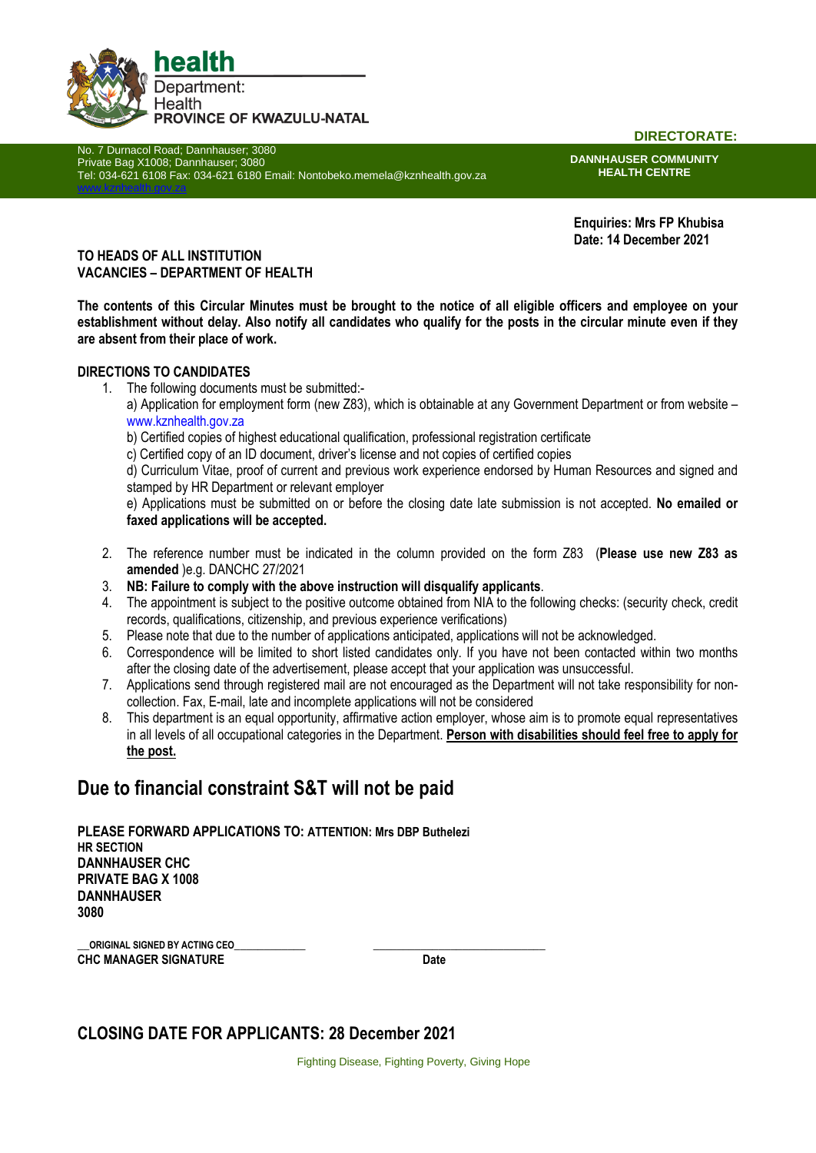

No. 7 Durnacol Road; Dannhauser; 3080 Private Bag X1008; Dannhauser; 3080 Tel: 034-621 6108 Fax: 034-621 6180 Email: Nontobeko.memela@kznhealth.gov.za [www.kznhealth.gov.za](http://www.kznhealth.gov.za/)

**DIRECTORATE:**

**DANNHAUSER COMMUNITY HEALTH CENTRE**

**Enquiries: Mrs FP Khubisa Date: 14 December 2021**

### **TO HEADS OF ALL INSTITUTION VACANCIES – DEPARTMENT OF HEALTH**

**The contents of this Circular Minutes must be brought to the notice of all eligible officers and employee on your establishment without delay. Also notify all candidates who qualify for the posts in the circular minute even if they are absent from their place of work.**

### **DIRECTIONS TO CANDIDATES**

- 1. The following documents must be submitted: a) Application for employment form (new Z83), which is obtainable at any Government Department or from website – www.kznhealth.gov.za
	- b) Certified copies of highest educational qualification, professional registration certificate
	- c) Certified copy of an ID document, driver's license and not copies of certified copies

d) Curriculum Vitae, proof of current and previous work experience endorsed by Human Resources and signed and stamped by HR Department or relevant employer

e) Applications must be submitted on or before the closing date late submission is not accepted. **No emailed or faxed applications will be accepted.**

- 2. The reference number must be indicated in the column provided on the form Z83 (**Please use new Z83 as amended** )e.g. DANCHC 27/2021
- 3. **NB: Failure to comply with the above instruction will disqualify applicants**.
- 4. The appointment is subject to the positive outcome obtained from NIA to the following checks: (security check, credit records, qualifications, citizenship, and previous experience verifications)
- 5. Please note that due to the number of applications anticipated, applications will not be acknowledged.
- 6. Correspondence will be limited to short listed candidates only. If you have not been contacted within two months after the closing date of the advertisement, please accept that your application was unsuccessful.
- 7. Applications send through registered mail are not encouraged as the Department will not take responsibility for noncollection. Fax, E-mail, late and incomplete applications will not be considered
- 8. This department is an equal opportunity, affirmative action employer, whose aim is to promote equal representatives in all levels of all occupational categories in the Department. **Person with disabilities should feel free to apply for the post.**

# **Due to financial constraint S&T will not be paid**

**PLEASE FORWARD APPLICATIONS TO: ATTENTION: Mrs DBP Buthelezi HR SECTION DANNHAUSER CHC PRIVATE BAG X 1008 DANNHAUSER 3080**

**\_\_ORIGINAL SIGNED BY ACTING CEO\_\_\_\_\_\_\_\_\_\_\_\_ \_\_\_\_\_\_\_\_\_\_\_\_\_\_\_\_\_\_\_\_\_\_\_\_\_\_\_\_\_ CHC MANAGER SIGNATURE Date** 

## **CLOSING DATE FOR APPLICANTS: 28 December 2021**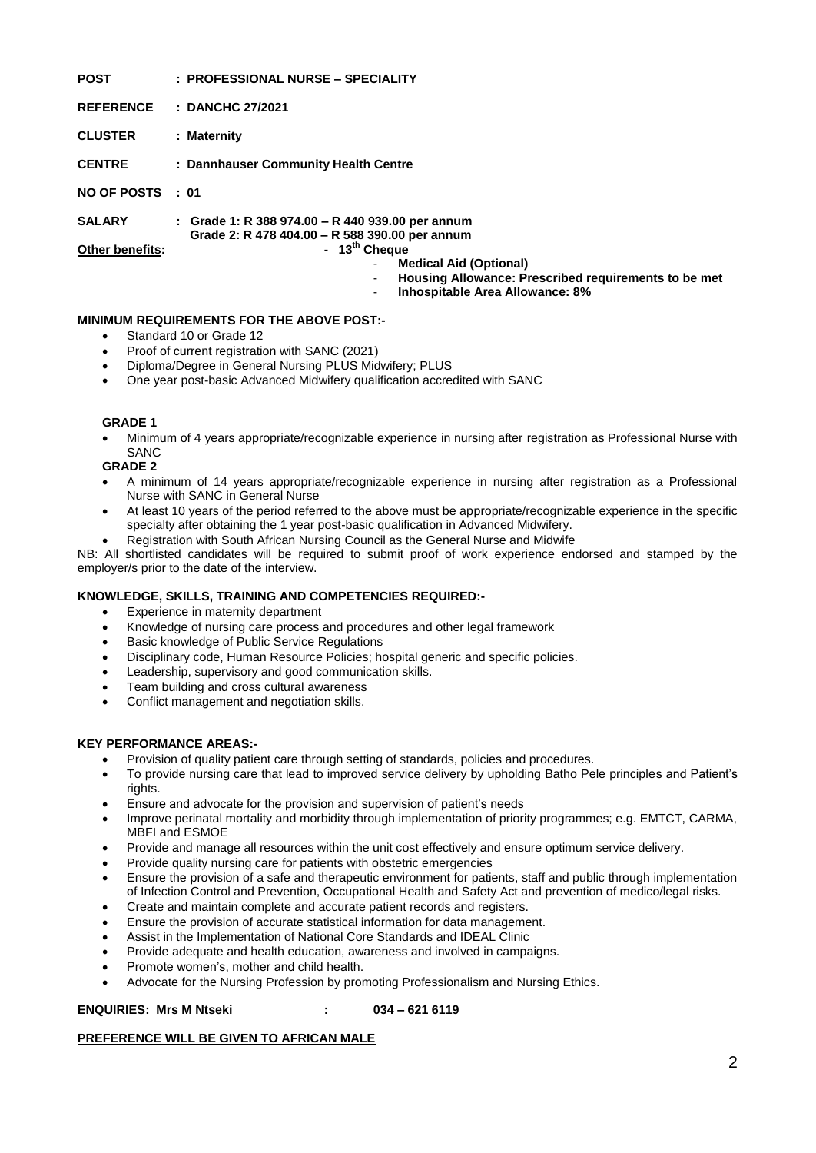| <b>POST</b>            | : PROFESSIONAL NURSE - SPECIALITY                                                                                |
|------------------------|------------------------------------------------------------------------------------------------------------------|
| <b>REFERENCE</b>       | : DANCHC 27/2021                                                                                                 |
| <b>CLUSTER</b>         | : Maternity                                                                                                      |
| <b>CENTRE</b>          | : Dannhauser Community Health Centre                                                                             |
| NO OF POSTS : 01       |                                                                                                                  |
| <b>SALARY</b>          | : Grade 1: R 388 974.00 - R 440 939.00 per annum<br>Grade 2: R 478 404.00 - R 588 390.00 per annum               |
| <b>Other benefits:</b> | - $13^{th}$ Cheque<br><b>Medical Aid (Optional)</b><br>Housing Allowance: Prescribed requirements to be met<br>۰ |
|                        |                                                                                                                  |

- **Inhospitable Area Allowance: 8%**

### **MINIMUM REQUIREMENTS FOR THE ABOVE POST:-**

- Standard 10 or Grade 12
- Proof of current registration with SANC (2021)
- Diploma/Degree in General Nursing PLUS Midwifery; PLUS
- One year post-basic Advanced Midwifery qualification accredited with SANC

#### **GRADE 1**

 Minimum of 4 years appropriate/recognizable experience in nursing after registration as Professional Nurse with SANC

**GRADE 2**

- A minimum of 14 years appropriate/recognizable experience in nursing after registration as a Professional Nurse with SANC in General Nurse
- At least 10 years of the period referred to the above must be appropriate/recognizable experience in the specific specialty after obtaining the 1 year post-basic qualification in Advanced Midwifery.
- Registration with South African Nursing Council as the General Nurse and Midwife

NB: All shortlisted candidates will be required to submit proof of work experience endorsed and stamped by the employer/s prior to the date of the interview.

#### **KNOWLEDGE, SKILLS, TRAINING AND COMPETENCIES REQUIRED:-**

- Experience in maternity department
- Knowledge of nursing care process and procedures and other legal framework
- Basic knowledge of Public Service Regulations
- Disciplinary code, Human Resource Policies; hospital generic and specific policies.
- Leadership, supervisory and good communication skills.
- Team building and cross cultural awareness
- Conflict management and negotiation skills.

#### **KEY PERFORMANCE AREAS:-**

- Provision of quality patient care through setting of standards, policies and procedures.
- To provide nursing care that lead to improved service delivery by upholding Batho Pele principles and Patient's rights.
- Ensure and advocate for the provision and supervision of patient's needs
- Improve perinatal mortality and morbidity through implementation of priority programmes; e.g. EMTCT, CARMA, MBFI and ESMOE
- Provide and manage all resources within the unit cost effectively and ensure optimum service delivery.
- Provide quality nursing care for patients with obstetric emergencies
- Ensure the provision of a safe and therapeutic environment for patients, staff and public through implementation of Infection Control and Prevention, Occupational Health and Safety Act and prevention of medico/legal risks.
- Create and maintain complete and accurate patient records and registers.
- Ensure the provision of accurate statistical information for data management.
- Assist in the Implementation of National Core Standards and IDEAL Clinic
- Provide adequate and health education, awareness and involved in campaigns.
- Promote women's, mother and child health.
- Advocate for the Nursing Profession by promoting Professionalism and Nursing Ethics.

### **ENQUIRIES: Mrs M Ntseki : 034 – 621 6119**

### **PREFERENCE WILL BE GIVEN TO AFRICAN MALE**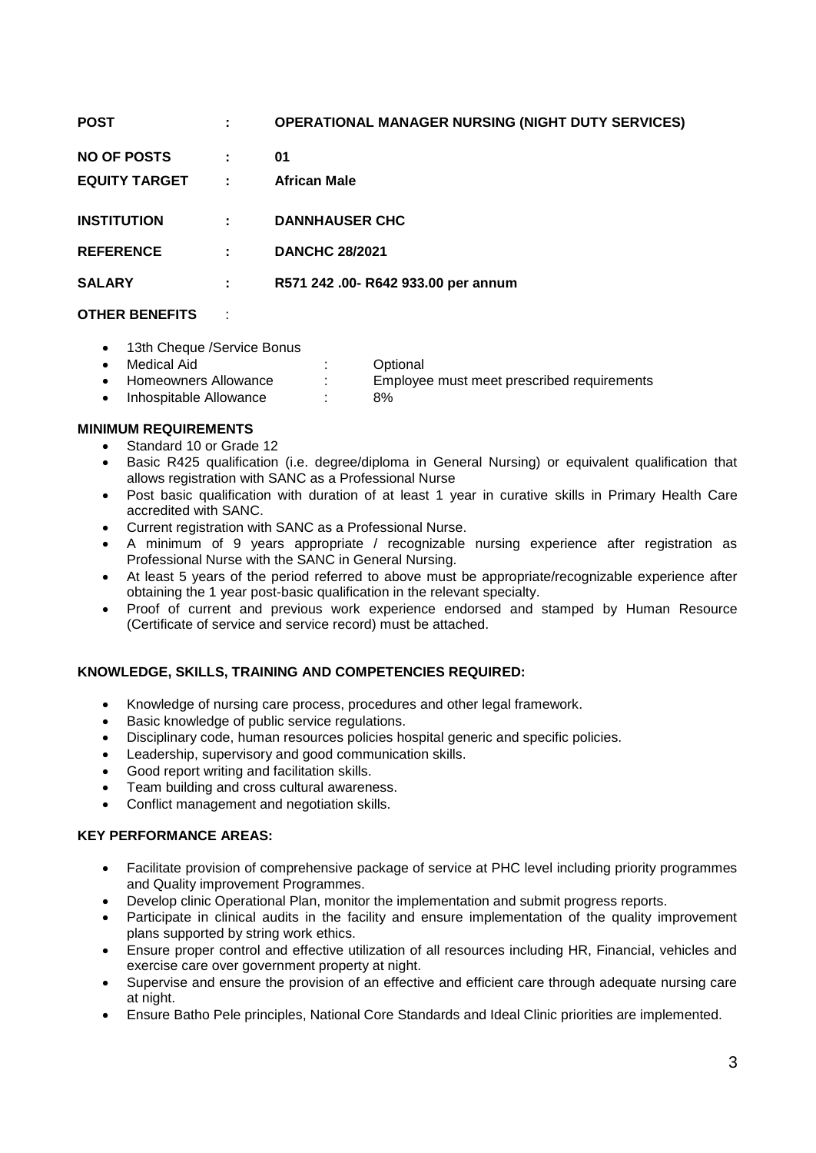| <b>POST</b>            |   | <b>OPERATIONAL MANAGER NURSING (NIGHT DUTY SERVICES)</b> |
|------------------------|---|----------------------------------------------------------|
| NO OF POSTS            | ÷ | 01                                                       |
| <b>EQUITY TARGET :</b> |   | <b>African Male</b>                                      |
| <b>INSTITUTION</b>     | ÷ | <b>DANNHAUSER CHC</b>                                    |
| <b>REFERENCE</b>       | ÷ | <b>DANCHC 28/2021</b>                                    |
| <b>SALARY</b>          | ÷ | R571 242 .00- R642 933.00 per annum                      |
|                        |   |                                                          |

### **OTHER BENEFITS** :

• 13th Cheque /Service Bonus

| Medical Aid          | Optional                                   |
|----------------------|--------------------------------------------|
| Homeowners Allowance | Employee must meet prescribed requirements |

• Inhospitable Allowance : 8%

### **MINIMUM REQUIREMENTS**

- Standard 10 or Grade 12
- Basic R425 qualification (i.e. degree/diploma in General Nursing) or equivalent qualification that allows registration with SANC as a Professional Nurse
- Post basic qualification with duration of at least 1 year in curative skills in Primary Health Care accredited with SANC.
- Current registration with SANC as a Professional Nurse.
- A minimum of 9 years appropriate / recognizable nursing experience after registration as Professional Nurse with the SANC in General Nursing.
- At least 5 years of the period referred to above must be appropriate/recognizable experience after obtaining the 1 year post-basic qualification in the relevant specialty.
- Proof of current and previous work experience endorsed and stamped by Human Resource (Certificate of service and service record) must be attached.

### **KNOWLEDGE, SKILLS, TRAINING AND COMPETENCIES REQUIRED:**

- Knowledge of nursing care process, procedures and other legal framework.
- Basic knowledge of public service regulations.
- Disciplinary code, human resources policies hospital generic and specific policies.
- Leadership, supervisory and good communication skills.
- Good report writing and facilitation skills.
- Team building and cross cultural awareness.
- Conflict management and negotiation skills.

### **KEY PERFORMANCE AREAS:**

- Facilitate provision of comprehensive package of service at PHC level including priority programmes and Quality improvement Programmes.
- Develop clinic Operational Plan, monitor the implementation and submit progress reports.
- Participate in clinical audits in the facility and ensure implementation of the quality improvement plans supported by string work ethics.
- Ensure proper control and effective utilization of all resources including HR, Financial, vehicles and exercise care over government property at night.
- Supervise and ensure the provision of an effective and efficient care through adequate nursing care at night.
- Ensure Batho Pele principles, National Core Standards and Ideal Clinic priorities are implemented.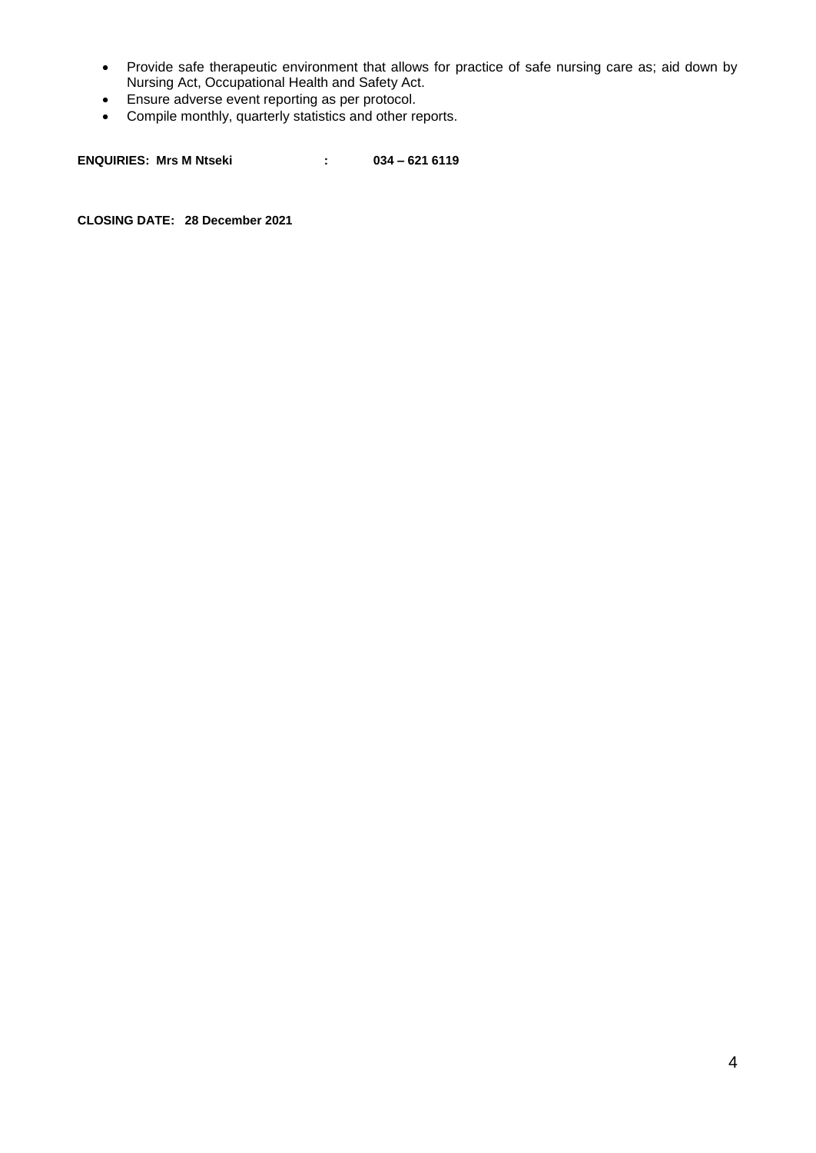- Provide safe therapeutic environment that allows for practice of safe nursing care as; aid down by Nursing Act, Occupational Health and Safety Act.
- Ensure adverse event reporting as per protocol.
- Compile monthly, quarterly statistics and other reports.

**ENQUIRIES: Mrs M Ntseki : 034 – 621 6119**

**CLOSING DATE: 28 December 2021**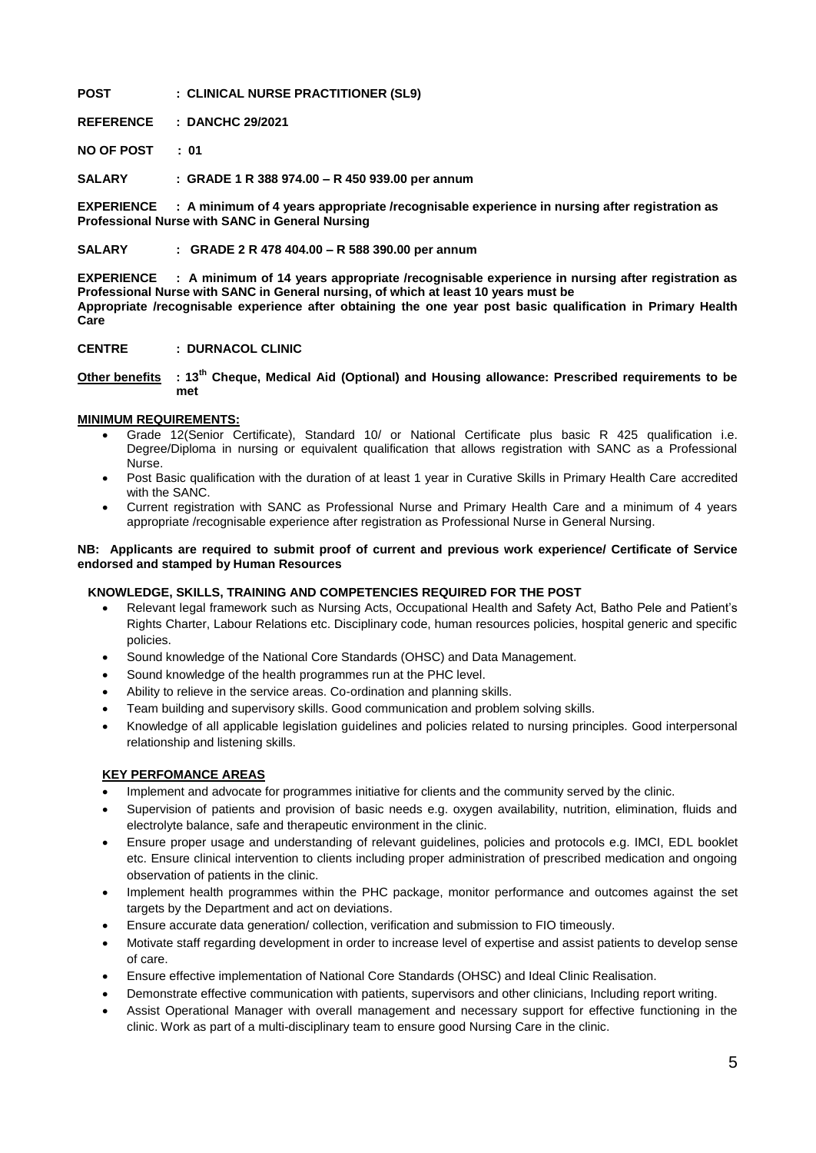#### **POST : CLINICAL NURSE PRACTITIONER (SL9)**

**REFERENCE : DANCHC 29/2021**

**NO OF POST : 01**

**SALARY : GRADE 1 R 388 974.00 – R 450 939.00 per annum**

**EXPERIENCE : A minimum of 4 years appropriate /recognisable experience in nursing after registration as Professional Nurse with SANC in General Nursing**

**SALARY : GRADE 2 R 478 404.00 – R 588 390.00 per annum**

**EXPERIENCE : A minimum of 14 years appropriate /recognisable experience in nursing after registration as Professional Nurse with SANC in General nursing, of which at least 10 years must be Appropriate /recognisable experience after obtaining the one year post basic qualification in Primary Health Care**

**CENTRE : DURNACOL CLINIC**

**Other benefits : 13th Cheque, Medical Aid (Optional) and Housing allowance: Prescribed requirements to be met**

#### **MINIMUM REQUIREMENTS:**

- Grade 12(Senior Certificate), Standard 10/ or National Certificate plus basic R 425 qualification i.e. Degree/Diploma in nursing or equivalent qualification that allows registration with SANC as a Professional Nurse.
- Post Basic qualification with the duration of at least 1 year in Curative Skills in Primary Health Care accredited with the SANC.
- Current registration with SANC as Professional Nurse and Primary Health Care and a minimum of 4 years appropriate /recognisable experience after registration as Professional Nurse in General Nursing.

#### **NB: Applicants are required to submit proof of current and previous work experience/ Certificate of Service endorsed and stamped by Human Resources**

### **KNOWLEDGE, SKILLS, TRAINING AND COMPETENCIES REQUIRED FOR THE POST**

- Relevant legal framework such as Nursing Acts, Occupational Health and Safety Act, Batho Pele and Patient's Rights Charter, Labour Relations etc. Disciplinary code, human resources policies, hospital generic and specific policies.
- Sound knowledge of the National Core Standards (OHSC) and Data Management.
- Sound knowledge of the health programmes run at the PHC level.
- Ability to relieve in the service areas. Co-ordination and planning skills.
- Team building and supervisory skills. Good communication and problem solving skills.
- Knowledge of all applicable legislation guidelines and policies related to nursing principles. Good interpersonal relationship and listening skills.

### **KEY PERFOMANCE AREAS**

- Implement and advocate for programmes initiative for clients and the community served by the clinic.
- Supervision of patients and provision of basic needs e.g. oxygen availability, nutrition, elimination, fluids and electrolyte balance, safe and therapeutic environment in the clinic.
- Ensure proper usage and understanding of relevant guidelines, policies and protocols e.g. IMCI, EDL booklet etc. Ensure clinical intervention to clients including proper administration of prescribed medication and ongoing observation of patients in the clinic.
- Implement health programmes within the PHC package, monitor performance and outcomes against the set targets by the Department and act on deviations.
- Ensure accurate data generation/ collection, verification and submission to FIO timeously.
- Motivate staff regarding development in order to increase level of expertise and assist patients to develop sense of care.
- Ensure effective implementation of National Core Standards (OHSC) and Ideal Clinic Realisation.
- Demonstrate effective communication with patients, supervisors and other clinicians, Including report writing.
- Assist Operational Manager with overall management and necessary support for effective functioning in the clinic. Work as part of a multi-disciplinary team to ensure good Nursing Care in the clinic.